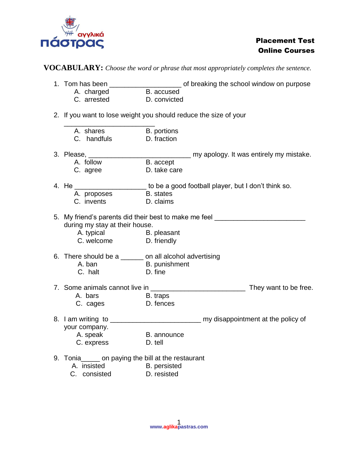

**VOCABULARY:** *Choose the word or phrase that most appropriately completes the sentence.*

|                                                                  | 1. Tom has been __________________________ of breaking the school window on purpose |
|------------------------------------------------------------------|-------------------------------------------------------------------------------------|
| A. charged                                                       | B. accused                                                                          |
| C. arrested                                                      | D. convicted                                                                        |
|                                                                  | 2. If you want to lose weight you should reduce the size of your                    |
| A. shares                                                        | B. portions                                                                         |
| C. handfuls                                                      | D. fraction                                                                         |
|                                                                  |                                                                                     |
| A. follow                                                        | B. accept                                                                           |
| C. agree                                                         | D. take care                                                                        |
|                                                                  | 4. He ________________________to be a good football player, but I don't think so.   |
| A. proposes                                                      | <b>B.</b> states                                                                    |
| C. invents                                                       | D. claims                                                                           |
|                                                                  | 5. My friend's parents did their best to make me feel                               |
| during my stay at their house.                                   |                                                                                     |
| A. typical B. pleasant                                           |                                                                                     |
| C. welcome D. friendly                                           |                                                                                     |
|                                                                  | 6. There should be a ______ on all alcohol advertising                              |
| A. ban                                                           | <b>Example 1</b> B. punishment                                                      |
| C. halt                                                          | D. fine                                                                             |
|                                                                  | They want to be free.                                                               |
| A. bars<br>C. cages                                              | B. traps                                                                            |
|                                                                  | D. fences                                                                           |
|                                                                  |                                                                                     |
| your company.                                                    |                                                                                     |
| A. speak                                                         | B. announce                                                                         |
| C. express                                                       | D. tell                                                                             |
| 9. Tonia <sub>____</sub> __ on paying the bill at the restaurant |                                                                                     |
| A. insisted                                                      | B. persisted                                                                        |
| C. consisted                                                     | D. resisted                                                                         |
|                                                                  |                                                                                     |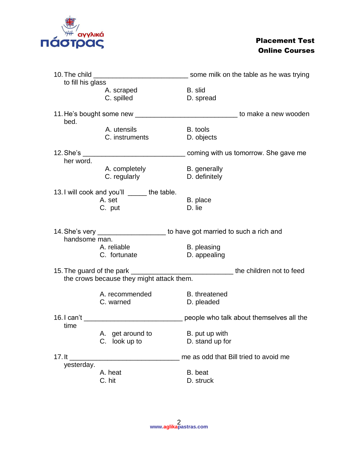

| to fill his glass |                                                                  |                                                                                 |  |
|-------------------|------------------------------------------------------------------|---------------------------------------------------------------------------------|--|
|                   | A. scraped<br>C. spilled                                         | B. slid<br>D. spread                                                            |  |
| bed.              |                                                                  | 11. He's bought some new _________________________________ to make a new wooden |  |
|                   | A. utensils<br>C. instruments                                    | B. tools<br>D. objects                                                          |  |
| her word.         |                                                                  | coming with us tomorrow. She gave me                                            |  |
|                   | A. completely<br>C. regularly                                    | B. generally<br>D. definitely                                                   |  |
|                   | 13. I will cook and you'll ______ the table.<br>A. set<br>C. put | B. place<br>D. lie                                                              |  |
| handsome man.     |                                                                  | to have got married to such a rich and                                          |  |
|                   | A. reliable<br>C. fortunate                                      | B. pleasing<br>D. appealing                                                     |  |
|                   | the crows because they might attack them.                        |                                                                                 |  |
|                   | A. recommended<br>C. warned                                      | B. threatened<br>D. pleaded                                                     |  |
|                   | 16. I can't <u>cantage and control control</u>                   | people who talk about themselves all the                                        |  |
| time              | A. get around to<br>C. look up to                                | B. put up with<br>D. stand up for                                               |  |
| $17.$ It          |                                                                  | me as odd that Bill tried to avoid me                                           |  |
| yesterday.        | A. heat<br>C. hit                                                | B. beat<br>D. struck                                                            |  |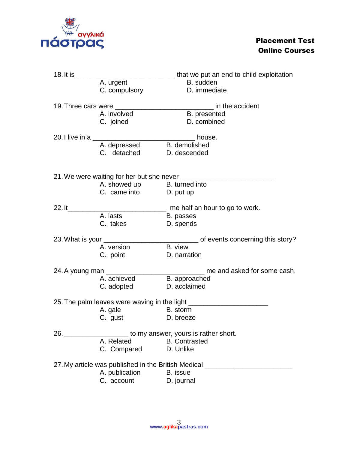

| 18. It is $\_\_$<br>____________________________that we put an end to child exploitation |                                     |                                                                                              |  |
|------------------------------------------------------------------------------------------|-------------------------------------|----------------------------------------------------------------------------------------------|--|
| A. urgent                                                                                |                                     | B. sudden                                                                                    |  |
|                                                                                          | C. compulsory                       | D. immediate                                                                                 |  |
|                                                                                          |                                     |                                                                                              |  |
|                                                                                          | A. involved                         | B. presented                                                                                 |  |
|                                                                                          | C. joined                           | D. combined                                                                                  |  |
|                                                                                          |                                     | house.                                                                                       |  |
|                                                                                          | A. depressed B. demolished          |                                                                                              |  |
|                                                                                          | C. detached D. descended            |                                                                                              |  |
|                                                                                          |                                     |                                                                                              |  |
|                                                                                          |                                     |                                                                                              |  |
|                                                                                          | A. showed up B. turned into         |                                                                                              |  |
|                                                                                          | C. came into D. put up              |                                                                                              |  |
| 22. lt                                                                                   |                                     | me half an hour to go to work.                                                               |  |
|                                                                                          | A. lasts                            | B. passes                                                                                    |  |
|                                                                                          | C. takes                            | D. spends                                                                                    |  |
|                                                                                          |                                     |                                                                                              |  |
|                                                                                          |                                     |                                                                                              |  |
|                                                                                          | A. version                          | B. view                                                                                      |  |
|                                                                                          | C. point                            | D. narration                                                                                 |  |
| 24. A young man                                                                          |                                     | me and asked for some cash.                                                                  |  |
|                                                                                          | A. achieved B. approached           |                                                                                              |  |
|                                                                                          | C. adopted                          | D. acclaimed                                                                                 |  |
|                                                                                          |                                     |                                                                                              |  |
|                                                                                          | <b>Example 13 Strategy</b> B. storm | 25. The palm leaves were waving in the light ___________________________________             |  |
|                                                                                          | A. gale<br>C. gust                  | D. breeze                                                                                    |  |
|                                                                                          |                                     | 26. 26. 26. 2012 to my answer, yours is rather short.                                        |  |
|                                                                                          | A. Related                          | <b>B.</b> Contrasted                                                                         |  |
|                                                                                          | C. Compared                         | D. Unlike                                                                                    |  |
|                                                                                          |                                     |                                                                                              |  |
|                                                                                          | A. publication                      | 27. My article was published in the British Medical ____________________________<br>B. issue |  |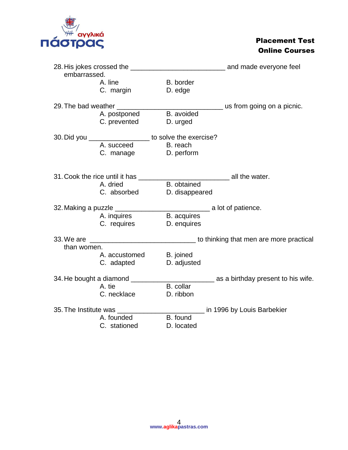

| embarrassed. |                                                         |                    |                                      |
|--------------|---------------------------------------------------------|--------------------|--------------------------------------|
|              | A. line                                                 | B. border          |                                      |
|              | C. margin                                               | D. edge            |                                      |
|              |                                                         |                    |                                      |
|              |                                                         |                    | us from going on a picnic.           |
|              | A. postponed                                            | B. avoided         |                                      |
|              | C. prevented                                            | D. urged           |                                      |
|              |                                                         |                    |                                      |
|              | 30. Did you ____________________ to solve the exercise? |                    |                                      |
|              | A. succeed                                              | B. reach           |                                      |
|              | C. manage D. perform                                    |                    |                                      |
|              |                                                         |                    |                                      |
|              |                                                         |                    |                                      |
|              | 31. Cook the rice until it has                          |                    | all the water.                       |
|              | A. dried                                                | B. obtained        |                                      |
|              | C. absorbed                                             | D. disappeared     |                                      |
|              |                                                         |                    |                                      |
|              | 32. Making a puzzle __________                          |                    | _________________ a lot of patience. |
|              | A. inquires                                             | <b>B.</b> acquires |                                      |
|              | C. requires                                             | D. enquires        |                                      |
|              |                                                         |                    |                                      |
|              |                                                         |                    |                                      |
| than women.  |                                                         |                    |                                      |
|              | A. accustomed                                           | B. joined          |                                      |
|              | C. adapted                                              | D. adjusted        |                                      |
|              |                                                         |                    |                                      |
|              | 34. He bought a diamond ________                        |                    | as a birthday present to his wife.   |
|              | A. tie                                                  | B. collar          |                                      |
|              | C. necklace                                             | D. ribbon          |                                      |
|              |                                                         |                    |                                      |
|              | 35. The Institute was                                   |                    | in 1996 by Louis Barbekier           |
|              | A. founded                                              | B. found           |                                      |
|              | C. stationed                                            | D. located         |                                      |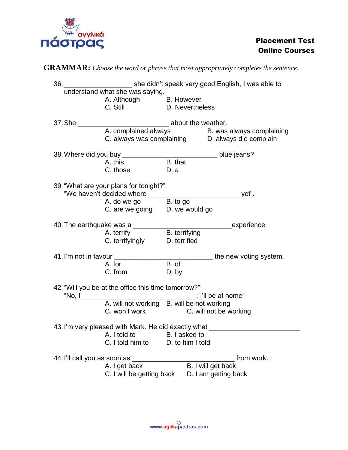

# **GRAMMAR:** *Choose the word or phrase that most appropriately completes the sentence.*

| 36.                                                                               | she didn't speak very good English, I was able to                                                                         |                 |                                                                                                    |  |
|-----------------------------------------------------------------------------------|---------------------------------------------------------------------------------------------------------------------------|-----------------|----------------------------------------------------------------------------------------------------|--|
| understand what she was saying.                                                   |                                                                                                                           |                 |                                                                                                    |  |
|                                                                                   | A. Although B. However<br>C. Still D. Neverthe                                                                            |                 |                                                                                                    |  |
|                                                                                   |                                                                                                                           | D. Nevertheless |                                                                                                    |  |
| about the weather.                                                                |                                                                                                                           |                 |                                                                                                    |  |
| 37. She _______                                                                   |                                                                                                                           |                 |                                                                                                    |  |
|                                                                                   |                                                                                                                           |                 | A. complained always B. was always complaining<br>C. always was complaining D. always did complain |  |
|                                                                                   |                                                                                                                           |                 |                                                                                                    |  |
|                                                                                   |                                                                                                                           |                 |                                                                                                    |  |
|                                                                                   | A. this                                                                                                                   | B. that         |                                                                                                    |  |
|                                                                                   | C. those D. a                                                                                                             |                 |                                                                                                    |  |
|                                                                                   |                                                                                                                           |                 |                                                                                                    |  |
|                                                                                   | 39. "What are your plans for tonight?"                                                                                    |                 |                                                                                                    |  |
|                                                                                   |                                                                                                                           |                 |                                                                                                    |  |
|                                                                                   | A. do we go B. to go<br>C. are we going D. we would go                                                                    |                 |                                                                                                    |  |
|                                                                                   |                                                                                                                           |                 |                                                                                                    |  |
|                                                                                   |                                                                                                                           |                 |                                                                                                    |  |
|                                                                                   |                                                                                                                           |                 |                                                                                                    |  |
|                                                                                   | A. terrify<br>C. terrifyingly<br>D. terrified<br>D. terrified                                                             |                 |                                                                                                    |  |
|                                                                                   |                                                                                                                           |                 |                                                                                                    |  |
|                                                                                   |                                                                                                                           |                 | the new voting system.                                                                             |  |
|                                                                                   | A. for<br>C. from the control of the control of the control of the control of the control of the control of the control o | B. of           |                                                                                                    |  |
|                                                                                   |                                                                                                                           | D. by           |                                                                                                    |  |
|                                                                                   | 42. "Will you be at the office this time tomorrow?"                                                                       |                 |                                                                                                    |  |
|                                                                                   |                                                                                                                           |                 |                                                                                                    |  |
|                                                                                   |                                                                                                                           |                 |                                                                                                    |  |
|                                                                                   | C. won't work C. will not be working                                                                                      |                 |                                                                                                    |  |
|                                                                                   |                                                                                                                           |                 |                                                                                                    |  |
| 43. I'm very pleased with Mark. He did exactly what<br>A. I told to B. I asked to |                                                                                                                           |                 |                                                                                                    |  |
|                                                                                   |                                                                                                                           |                 |                                                                                                    |  |
| C. I told him to<br>D. to him I told                                              |                                                                                                                           |                 |                                                                                                    |  |
| 44. I'll call you as soon as ____<br>from work.                                   |                                                                                                                           |                 |                                                                                                    |  |
|                                                                                   | A. I get back                                                                                                             |                 | B. I will get back                                                                                 |  |
|                                                                                   | C. I will be getting back                                                                                                 |                 | D. I am getting back                                                                               |  |
|                                                                                   |                                                                                                                           |                 |                                                                                                    |  |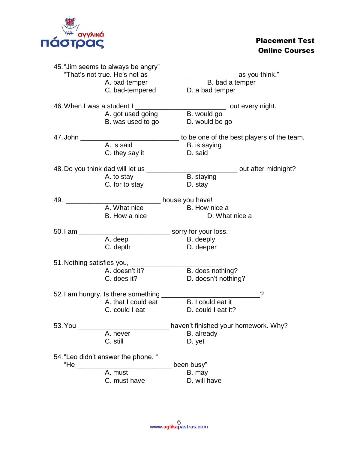

|                                  | 45. "Jim seems to always be angry"  |                                                                              |
|----------------------------------|-------------------------------------|------------------------------------------------------------------------------|
|                                  | "That's not true. He's not as       | as you think."                                                               |
|                                  | A. bad temper                       | B. bad a temper                                                              |
|                                  | C. bad-tempered                     | D. a bad temper                                                              |
|                                  |                                     | 46. When I was a student I ________________________________ out every night. |
|                                  | A. got used going                   | B. would go                                                                  |
|                                  | B. was used to go                   | D. would be go                                                               |
| 47. John                         |                                     | to be one of the best players of the team.                                   |
|                                  | A. is said                          | B. is saying                                                                 |
|                                  | C. they say it                      | D. said                                                                      |
|                                  | 48. Do you think dad will let us _  | __ out after midnight?                                                       |
|                                  | A. to stay                          | B. staying                                                                   |
|                                  | C. for to stay                      | D. stay                                                                      |
| 49.                              |                                     | house you have!                                                              |
|                                  | A. What nice                        | B. How nice a                                                                |
|                                  | B. How a nice                       | D. What nice a                                                               |
| 50.1 am                          |                                     | sorry for your loss.                                                         |
|                                  | A. deep                             | B. deeply                                                                    |
|                                  | C. depth                            | D. deeper                                                                    |
| 51. Nothing satisfies you, _____ |                                     |                                                                              |
|                                  | A. doesn't it?                      | B. does nothing?                                                             |
|                                  | C. does it?                         | D. doesn't nothing?                                                          |
|                                  | 52. I am hungry. Is there something | ?                                                                            |
|                                  | A. that I could eat                 | B. I could eat it                                                            |
|                                  | C. could I eat                      | D. could I eat it?                                                           |
| 53. You                          |                                     | haven't finished your homework. Why?                                         |
|                                  | A. never                            | B. already                                                                   |
|                                  | C. still                            | D. yet                                                                       |
|                                  | 54. "Leo didn't answer the phone. " |                                                                              |
| "He                              |                                     | been busy"                                                                   |
|                                  | A. must                             | B. may                                                                       |
|                                  | C. must have                        | D. will have                                                                 |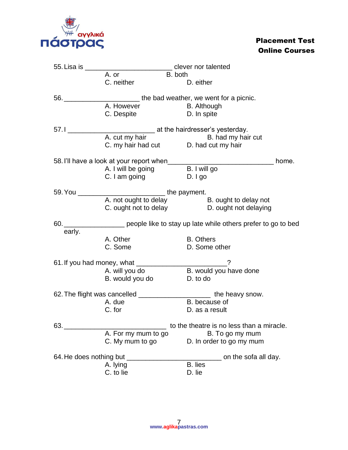

| 55. Lisa is _______________________________ clever nor talented |                                                                                                                                                                                                                                                                                                                                                                                                                                                                                                                                                                                                                |
|-----------------------------------------------------------------|----------------------------------------------------------------------------------------------------------------------------------------------------------------------------------------------------------------------------------------------------------------------------------------------------------------------------------------------------------------------------------------------------------------------------------------------------------------------------------------------------------------------------------------------------------------------------------------------------------------|
|                                                                 |                                                                                                                                                                                                                                                                                                                                                                                                                                                                                                                                                                                                                |
|                                                                 | D. either                                                                                                                                                                                                                                                                                                                                                                                                                                                                                                                                                                                                      |
|                                                                 |                                                                                                                                                                                                                                                                                                                                                                                                                                                                                                                                                                                                                |
|                                                                 |                                                                                                                                                                                                                                                                                                                                                                                                                                                                                                                                                                                                                |
| C. Despite                                                      | D. In spite                                                                                                                                                                                                                                                                                                                                                                                                                                                                                                                                                                                                    |
|                                                                 |                                                                                                                                                                                                                                                                                                                                                                                                                                                                                                                                                                                                                |
|                                                                 |                                                                                                                                                                                                                                                                                                                                                                                                                                                                                                                                                                                                                |
|                                                                 |                                                                                                                                                                                                                                                                                                                                                                                                                                                                                                                                                                                                                |
|                                                                 |                                                                                                                                                                                                                                                                                                                                                                                                                                                                                                                                                                                                                |
|                                                                 | home.                                                                                                                                                                                                                                                                                                                                                                                                                                                                                                                                                                                                          |
|                                                                 |                                                                                                                                                                                                                                                                                                                                                                                                                                                                                                                                                                                                                |
|                                                                 | D. I go                                                                                                                                                                                                                                                                                                                                                                                                                                                                                                                                                                                                        |
|                                                                 |                                                                                                                                                                                                                                                                                                                                                                                                                                                                                                                                                                                                                |
|                                                                 |                                                                                                                                                                                                                                                                                                                                                                                                                                                                                                                                                                                                                |
|                                                                 |                                                                                                                                                                                                                                                                                                                                                                                                                                                                                                                                                                                                                |
|                                                                 |                                                                                                                                                                                                                                                                                                                                                                                                                                                                                                                                                                                                                |
|                                                                 | 60. ______________________ people like to stay up late while others prefer to go to bed                                                                                                                                                                                                                                                                                                                                                                                                                                                                                                                        |
|                                                                 |                                                                                                                                                                                                                                                                                                                                                                                                                                                                                                                                                                                                                |
| A. Other                                                        | <b>B.</b> Others                                                                                                                                                                                                                                                                                                                                                                                                                                                                                                                                                                                               |
|                                                                 | D. Some other                                                                                                                                                                                                                                                                                                                                                                                                                                                                                                                                                                                                  |
|                                                                 |                                                                                                                                                                                                                                                                                                                                                                                                                                                                                                                                                                                                                |
|                                                                 | B. would you have done                                                                                                                                                                                                                                                                                                                                                                                                                                                                                                                                                                                         |
| B. would you do                                                 | D. to do                                                                                                                                                                                                                                                                                                                                                                                                                                                                                                                                                                                                       |
|                                                                 |                                                                                                                                                                                                                                                                                                                                                                                                                                                                                                                                                                                                                |
|                                                                 |                                                                                                                                                                                                                                                                                                                                                                                                                                                                                                                                                                                                                |
|                                                                 | B. because of                                                                                                                                                                                                                                                                                                                                                                                                                                                                                                                                                                                                  |
|                                                                 | D. as a result                                                                                                                                                                                                                                                                                                                                                                                                                                                                                                                                                                                                 |
|                                                                 |                                                                                                                                                                                                                                                                                                                                                                                                                                                                                                                                                                                                                |
|                                                                 | to the theatre is no less than a miracle.                                                                                                                                                                                                                                                                                                                                                                                                                                                                                                                                                                      |
| A. For my mum to go                                             |                                                                                                                                                                                                                                                                                                                                                                                                                                                                                                                                                                                                                |
| C. My mum to go                                                 | B. To go my mum<br>D. In order to go my mum                                                                                                                                                                                                                                                                                                                                                                                                                                                                                                                                                                    |
|                                                                 |                                                                                                                                                                                                                                                                                                                                                                                                                                                                                                                                                                                                                |
| 64. He does nothing but<br>A. lying                             | on the sofa all day.<br>B. lies                                                                                                                                                                                                                                                                                                                                                                                                                                                                                                                                                                                |
|                                                                 | A. or<br>B. both<br>C. neither<br>56. _____________________________the bad weather, we went for a picnic.<br>A. However B. Although<br>A. cut my hair B. had my hair cut<br>C. my hair had cut<br>D. had cut my hair<br>58. I'll have a look at your report when______<br>A. I will be going B. I will go<br>C. I am going<br>A. not ought to delay B. ought to delay not<br>C. ought not to delay D. ought not delaying<br>C. Some<br>61. If you had money, what _________________________?<br>A. will you do<br>62. The flight was cancelled ___________________________ the heavy snow.<br>A. due<br>C. for |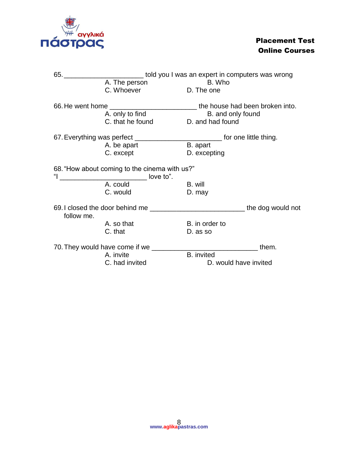

| 65.        | _____________________told you I was an expert in computers was wrong                       |                       |       |
|------------|--------------------------------------------------------------------------------------------|-----------------------|-------|
|            | A. The person                                                                              | B. Who                |       |
|            | C. Whoever                                                                                 | D. The one            |       |
|            |                                                                                            |                       |       |
|            | A. only to find                                                                            | B. and only found     |       |
|            | C. that he found                                                                           | D. and had found      |       |
|            | 67. Everything was perfect _____________________________ for one little thing.             |                       |       |
|            | A. be apart                                                                                | B. apart              |       |
|            | C. except                                                                                  | D. excepting          |       |
|            | 68. "How about coming to the cinema with us?"<br>_______________________________ love to". |                       |       |
|            | A. could                                                                                   | B. will               |       |
|            | C. would                                                                                   | D. may                |       |
|            | 69. I closed the door behind me _________________________________the dog would not         |                       |       |
| follow me. |                                                                                            |                       |       |
|            | A. so that                                                                                 | B. in order to        |       |
|            | C. that                                                                                    | D. as so              |       |
|            |                                                                                            |                       | them. |
|            | A. invite                                                                                  | <b>B.</b> invited     |       |
|            | C. had invited                                                                             | D. would have invited |       |
|            |                                                                                            |                       |       |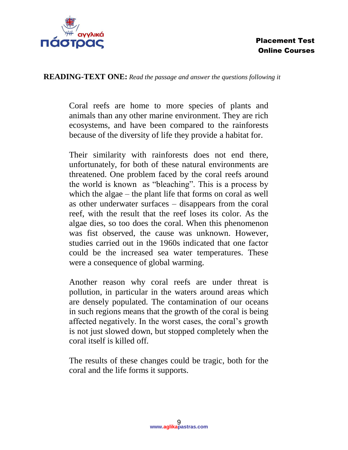

#### **READING-TEXT ONE:** *Read the passage and answer the questions following it*

Coral reefs are home to more species of plants and animals than any other marine environment. They are rich ecosystems, and have been compared to the rainforests because of the diversity of life they provide a habitat for.

Their similarity with rainforests does not end there, unfortunately, for both of these natural environments are threatened. One problem faced by the coral reefs around the world is known as "bleaching". This is a process by which the algae – the plant life that forms on coral as well as other underwater surfaces – disappears from the coral reef, with the result that the reef loses its color. As the algae dies, so too does the coral. When this phenomenon was fist observed, the cause was unknown. However, studies carried out in the 1960s indicated that one factor could be the increased sea water temperatures. These were a consequence of global warming.

Another reason why coral reefs are under threat is pollution, in particular in the waters around areas which are densely populated. The contamination of our oceans in such regions means that the growth of the coral is being affected negatively. In the worst cases, the coral's growth is not just slowed down, but stopped completely when the coral itself is killed off.

The results of these changes could be tragic, both for the coral and the life forms it supports.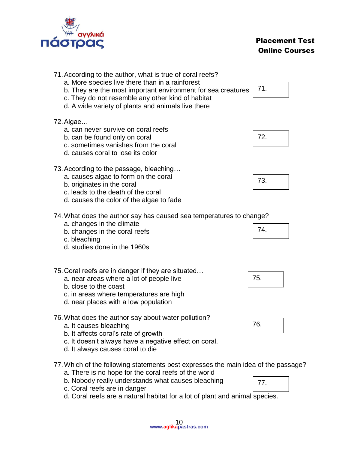

| 71. According to the author, what is true of coral reefs?<br>a. More species live there than in a rainforest<br>b. They are the most important environment for sea creatures<br>c. They do not resemble any other kind of habitat<br>d. A wide variety of plants and animals live there | 71. |
|-----------------------------------------------------------------------------------------------------------------------------------------------------------------------------------------------------------------------------------------------------------------------------------------|-----|
| 72. Algae<br>a. can never survive on coral reefs<br>b. can be found only on coral<br>c. sometimes vanishes from the coral<br>d. causes coral to lose its color                                                                                                                          | 72. |
| 73. According to the passage, bleaching<br>a. causes algae to form on the coral<br>b. originates in the coral<br>c. leads to the death of the coral<br>d. causes the color of the algae to fade                                                                                         | 73. |
| 74. What does the author say has caused sea temperatures to change?<br>a. changes in the climate<br>b. changes in the coral reefs<br>c. bleaching<br>d. studies done in the 1960s                                                                                                       | 74. |
| 75. Coral reefs are in danger if they are situated<br>a. near areas where a lot of people live<br>b. close to the coast<br>c. in areas where temperatures are high<br>d. near places with a low population                                                                              | 75. |
| 76. What does the author say about water pollution?<br>a. It causes bleaching<br>b. It affects coral's rate of growth                                                                                                                                                                   | 76. |

- c. It doesn't always have a negative effect on coral.
- d. It always causes coral to die
- 77.Which of the following statements best expresses the main idea of the passage? a. There is no hope for the coral reefs of the world
	- b. Nobody really understands what causes bleaching
	- c. Coral reefs are in danger
	- d. Coral reefs are a natural habitat for a lot of plant and animal species.

| 77. |  |
|-----|--|
|     |  |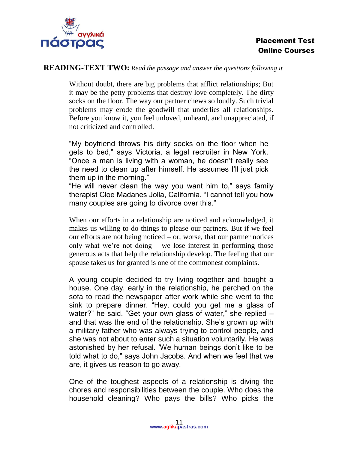

#### **READING-TEXT TWO:** *Read the passage and answer the questions following it*

Without doubt, there are big problems that afflict relationships; But it may be the petty problems that destroy love completely. The dirty socks on the floor. The way our partner chews so loudly. Such trivial problems may erode the goodwill that underlies all relationships. Before you know it, you feel unloved, unheard, and unappreciated, if not criticized and controlled.

"My boyfriend throws his dirty socks on the floor when he gets to bed," says Victoria, a legal recruiter in New York. "Once a man is living with a woman, he doesn't really see the need to clean up after himself. He assumes I'll just pick them up in the morning."

"He will never clean the way you want him to," says family therapist Cloe Madanes Jolla, California. "I cannot tell you how many couples are going to divorce over this."

When our efforts in a relationship are noticed and acknowledged, it makes us willing to do things to please our partners. But if we feel our efforts are not being noticed – or, worse, that our partner notices only what we're not doing – we lose interest in performing those generous acts that help the relationship develop. The feeling that our spouse takes us for granted is one of the commonest complaints.

A young couple decided to try living together and bought a house. One day, early in the relationship, he perched on the sofa to read the newspaper after work while she went to the sink to prepare dinner. "Hey, could you get me a glass of water?" he said. "Get your own glass of water," she replied – and that was the end of the relationship. She's grown up with a military father who was always trying to control people, and she was not about to enter such a situation voluntarily. He was astonished by her refusal. 'We human beings don't like to be told what to do," says John Jacobs. And when we feel that we are, it gives us reason to go away.

One of the toughest aspects of a relationship is diving the chores and responsibilities between the couple. Who does the household cleaning? Who pays the bills? Who picks the